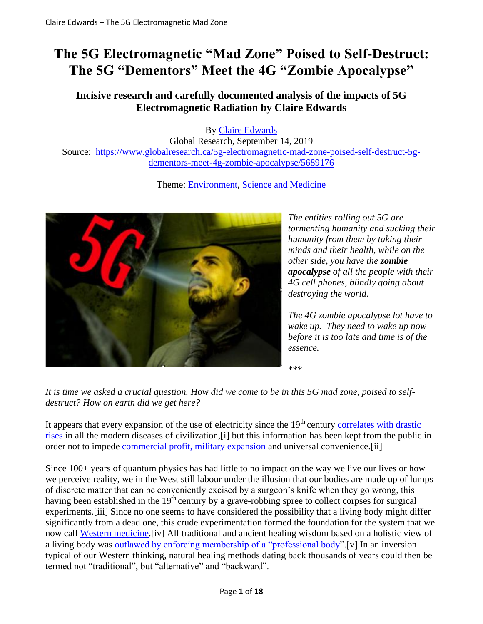# **The 5G Electromagnetic "Mad Zone" Poised to Self-Destruct: The 5G "Dementors" Meet the 4G "Zombie Apocalypse"**

## **Incisive research and carefully documented analysis of the impacts of 5G Electromagnetic Radiation by Claire Edwards**

By [Claire Edwards](https://www.globalresearch.ca/author/claire-edwards)

Global Research, September 14, 2019 Source: [https://www.globalresearch.ca/5g-electromagnetic-mad-zone-poised-self-destruct-5g](https://www.globalresearch.ca/5g-electromagnetic-mad-zone-poised-self-destruct-5g-dementors-meet-4g-zombie-apocalypse/5689176)[dementors-meet-4g-zombie-apocalypse/5689176](https://www.globalresearch.ca/5g-electromagnetic-mad-zone-poised-self-destruct-5g-dementors-meet-4g-zombie-apocalypse/5689176)

Theme: [Environment,](https://www.globalresearch.ca/theme/environment) [Science and Medicine](https://www.globalresearch.ca/theme/science-and-medicine)



*The entities rolling out 5G are tormenting humanity and sucking their humanity from them by taking their minds and their health, while on the other side, you have the zombie apocalypse of all the people with their 4G cell phones, blindly going about destroying the world.*

*The 4G zombie apocalypse lot have to wake up. They need to wake up now before it is too late and time is of the essence.*

*It is time we asked a crucial question. How did we come to be in this 5G mad zone, poised to selfdestruct? How on earth did we get here?*

It appears that every expansion of the use of electricity since the 19<sup>th</sup> century correlates with drastic [rises](https://www.5gexposed.com/wp-content/uploads/2019/04/English-Summary-of-The-Invisible-Rainbow-A-History-of-Electricity-and-Life-3.pdf) in all the modern diseases of civilization,[i] but this information has been kept from the public in order not to impede [commercial profit, military expansion](applewebdata://0397F4EB-5BD7-4232-B1F6-19AF84E14EDE/#stringent) and universal convenience.[ii]

\*\*\*

Since 100+ years of quantum physics has had little to no impact on the way we live our lives or how we perceive reality, we in the West still labour under the illusion that our bodies are made up of lumps of discrete matter that can be conveniently excised by a surgeon's knife when they go wrong, this having been established in the 19<sup>th</sup> century by a grave-robbing spree to collect corpses for surgical experiments.[iii] Since no one seems to have considered the possibility that a living body might differ significantly from a dead one, this crude experimentation formed the foundation for the system that we now call [Western medicine.](https://worldaffairs.blog/2015/10/20/how-rockefeller-founded-modern-medicine-and-killed-natural-cures/)[iv] All traditional and ancient healing wisdom based on a holistic view of a living body was [outlawed by enforcing membership of a "professional body"](https://articles.mercola.com/sites/articles/archive/2011/12/30/rethinking-medical-associations-best-interests.aspx).[v] In an inversion typical of our Western thinking, natural healing methods dating back thousands of years could then be termed not "traditional", but "alternative" and "backward".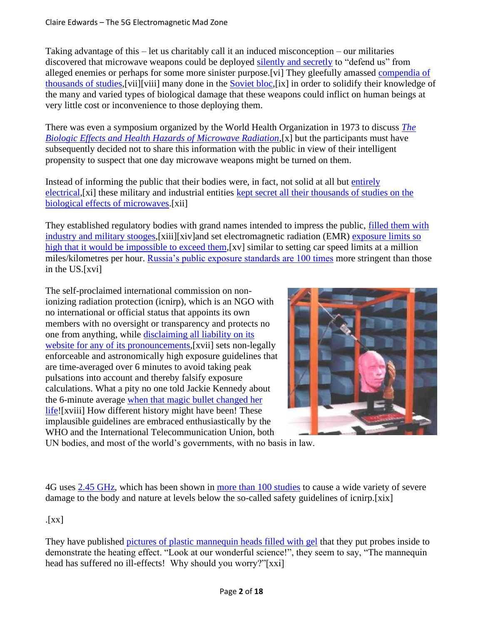Taking advantage of this – let us charitably call it an induced misconception – our militaries discovered that microwave weapons could be deployed [silently and secretly](https://www.youtube.com/watch?v=s_38tsQ4p0I) to "defend us" from alleged enemies or perhaps for some more sinister purpose.[vi] They gleefully amassed [compendia of](applewebdata://0397F4EB-5BD7-4232-B1F6-19AF84E14EDE/#airforce)  [thousands of studies,](applewebdata://0397F4EB-5BD7-4232-B1F6-19AF84E14EDE/#airforce)[vii][viii] many done in the [Soviet bloc,](https://emfrefugee.blogspot.com/2014/09/radiofrequencymicrowave-radiation.html)[ix] in order to solidify their knowledge of the many and varied types of biological damage that these weapons could inflict on human beings at very little cost or inconvenience to those deploying them.

There was even a symposium organized by the World Health Organization in 1973 to discuss *[The](https://www.emfoff.com/symposium/)  [Biologic Effects and Health Hazards of Microwave Radiation](https://www.emfoff.com/symposium/)*,[x] but the participants must have subsequently decided not to share this information with the public in view of their intelligent propensity to suspect that one day microwave weapons might be turned on them.

Instead of informing the public that their bodies were, in fact, not solid at all but [entirely](https://www.youtube.com/watch?v=pm-Ia6vI4PA)  [electrical,](https://www.youtube.com/watch?v=pm-Ia6vI4PA)[xi] these military and industrial entities [kept secret all their thousands of studies on the](https://www.targetedamerica.com/uploads/1/2/3/9/123991101/bioeffects_of_selected_non-lethal_weapons.pdf)  [biological effects of microwaves.](https://www.targetedamerica.com/uploads/1/2/3/9/123991101/bioeffects_of_selected_non-lethal_weapons.pdf)[xii]

They established regulatory bodies with grand names intended to impress the public, [filled them with](applewebdata://0397F4EB-5BD7-4232-B1F6-19AF84E14EDE/#revealnames)  [industry and military stooges,](applewebdata://0397F4EB-5BD7-4232-B1F6-19AF84E14EDE/#revealnames)[xiii][xiv]and set electromagnetic radiation (EMR) [exposure limits so](https://emf-protection.us/2015/02/the-radiation-poisoning-of-america/)  [high that it would be impossible to exceed them,](https://emf-protection.us/2015/02/the-radiation-poisoning-of-america/)[xv] similar to setting car speed limits at a million miles/kilometres per hour. [Russia's public exposure standards are 100 times](https://emf-protection.us/2015/02/the-radiation-poisoning-of-america/) more stringent than those in the US.[xvi]

The self-proclaimed international commission on nonionizing radiation protection (icnirp), which is an NGO with no international or official status that appoints its own members with no oversight or transparency and protects no one from anything, while [disclaiming all liability on its](https://www.icnirp.org/en/legal-notice.html)  [website for any of its pronouncements,](https://www.icnirp.org/en/legal-notice.html) [xvii] sets non-legally enforceable and astronomically high exposure guidelines that are time-averaged over 6 minutes to avoid taking peak pulsations into account and thereby falsify exposure calculations. What a pity no one told Jackie Kennedy about the 6-minute average [when that magic bullet changed her](https://www.youtube.com/watch?v=8aaqN7SqLpU)  [life!](https://www.youtube.com/watch?v=8aaqN7SqLpU)[xviii] How different history might have been! These implausible guidelines are embraced enthusiastically by the WHO and the International Telecommunication Union, both



UN bodies, and most of the world's governments, with no basis in law.

4G uses [2.45 GHz,](applewebdata://486B63CB-A0E4-4DC9-972E-DBB062329953/#twopointfourfiveGHz) which has been shown in [more than 100 studies](http://www.emfsa.co.za/research-and-studies/review-biological-and-pathological-effects-of-2-45-ghz-radiation-on-cells-fertility-brain-and-behavior/) to cause a wide variety of severe damage to the body and nature at levels below the so-called safety guidelines of icnirp.[xix]

## .[xx]

They have published [pictures of plastic mannequin heads filled with gel](https://www.icnirp.org/cms/upload/presentations/NIR2012pdf/watanabe.pdf.) that they put probes inside to demonstrate the heating effect. "Look at our wonderful science!", they seem to say, "The mannequin head has suffered no ill-effects! Why should you worry?"[xxi]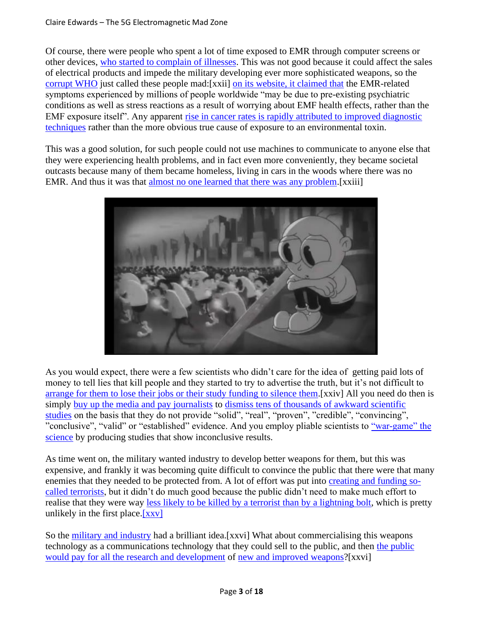Of course, there were people who spent a lot of time exposed to EMR through computer screens or other devices, [who started to complain of illnesses.](https://wearetheevidence.org/harmed-by-wireless/) This was not good because it could affect the sales of electrical products and impede the military developing ever more sophisticated weapons, so the [corrupt WHO](https://www.emfoff.com/cover-up/?fbclid=IwAR0x-VNP6A4UTpCgwasElSJOG_GyuswK3vED7piTY4RWDmAFPq-rlDwNckE) just called these people mad:[xxii] [on its website, it claimed that](https://www.emfoff.com/wp-content/uploads/2019/07/WHO-cover-up.pdf) the EMR-related symptoms experienced by millions of people worldwide "may be due to pre-existing psychiatric conditions as well as stress reactions as a result of worrying about EMF health effects, rather than the EMF exposure itself". Any apparent [rise in cancer rates is rapidly attributed to improved diagnostic](https://report.nih.gov/NIHfactsheets/ViewFactSheet.aspx?csid=75)  [techniques](https://report.nih.gov/NIHfactsheets/ViewFactSheet.aspx?csid=75) rather than the more obvious true cause of exposure to an environmental toxin.

This was a good solution, for such people could not use machines to communicate to anyone else that they were experiencing health problems, and in fact even more conveniently, they became societal outcasts because many of them became homeless, living in cars in the woods where there was no EMR. And thus it was that [almost no one learned that there was any problem.](https://www.ncbi.nlm.nih.gov/pubmed/26613326)[xxiii]



As you would expect, there were a few scientists who didn't care for the idea of getting paid lots of money to tell lies that kill people and they started to try to advertise the truth, but it's not difficult to [arrange for them to lose their jobs or their study funding to silence them.](https://youtu.be/NZl2MSHDKls)[xxiv] All you need do then is simply [buy up the media and pay journalists](https://www.rt.com/news/196984-german-journlaist-cia-pressure/) to [dismiss tens of thousands of awkward scientific](https://www.globalresearch.ca/online-bbc-fake-news-5g-decoded/5687055)  [studies](https://www.globalresearch.ca/online-bbc-fake-news-5g-decoded/5687055) on the basis that they do not provide "solid", "real", "proven", "credible", "convincing", "conclusive", "valid" or "established" evidence. And you employ pliable scientists to ["war-game" the](https://www.seattlemag.com/article/uw-scientist-henry-lai-makes-waves-cell-phone-industry)  [science](https://www.seattlemag.com/article/uw-scientist-henry-lai-makes-waves-cell-phone-industry) by producing studies that show inconclusive results.

As time went on, the military wanted industry to develop better weapons for them, but this was expensive, and frankly it was becoming quite difficult to convince the public that there were that many enemies that they needed to be protected from. A lot of effort was put into [creating and funding so](http://www.truthmove.org/content/operation-gladio/)[called terrorists,](http://www.truthmove.org/content/operation-gladio/) but it didn't do much good because the public didn't need to make much effort to realise that they were way [less likely to be killed by a terrorist than by a lightning bolt,](https://reason.com/2011/09/06/how-scared-of-terrorism-should) which is pretty unlikely in the first place[.\[xxv\]](applewebdata://57660306-E04F-451D-9184-72AF8487151D/#_edn2)

So the [military and industry](https://www.youtube.com/watch?v=k3QeSOU8qC0) had a brilliant idea.[xxvi] What about commercialising this weapons technology as a communications technology that they could sell to the public, and then [the public](https://techtime.news/2018/01/%2015/analog-devices-phased-array-radar/)  [would pay for all the research and development](https://techtime.news/2018/01/%2015/analog-devices-phased-array-radar/) of [new and improved weapons?](https://techtime.news/2018/01/%2015/analog-devices-phased-array-radar/)[xxvi]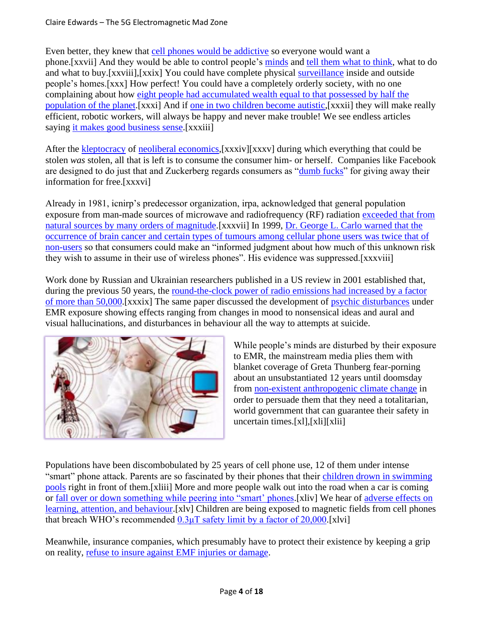Even better, they knew that [cell phones would be addictive](https://youtu.be/un-vXIzIIOo) so everyone would want a phone.[xxvii] And they would be able to control people's [minds](https://www.aljazeera.com/ajimpact/rebelling-attention-economy-humane-tech-movement-expands-190724210851788.html) and [tell them what to think,](https://www.activistpost.com/2019/08/silicon-valley-wants-to-read-your-mind-heres-why-you-should-be-worried.html?utm_source=Activist+Post+Subscribers&utm_medium=email&utm_campaign=61979a3ea3-RSS_EMAIL_CAMPAIGN&utm_term=0_b0c7fb76bd-61979a3ea3-387959801) what to do and what to buy.[xxviii],[xxix] You could have complete physical [surveillance](https://www.youtube.com/watch?time_continue=42&v=pD3Gw8rvcJ8) inside and outside people's homes.[xxx] How perfect! You could have a completely orderly society, with no one complaining about how [eight people had accumulated wealth equal to that possessed by half the](https://www.oxfam.org/en/pressroom/pressreleases/2017-01-16/just-8-men-own-same-wealth-half-world)  [population of the planet.](https://www.oxfam.org/en/pressroom/pressreleases/2017-01-16/just-8-men-own-same-wealth-half-world)[xxxi] And if [one in two children become autistic,](http://humansarefree.com/2019/07/scientist-says-1-in-2-children-born-in.html)[xxxii] they will make really efficient, robotic workers, will always be happy and never make trouble! We see endless articles saying [it makes good business sense.](https://theconversation.com/why-employing-autistic-people-makes-good-business-sense-39948)[xxxiii]

After the [kleptocracy](http://tsd.naomiklein.org/shock-doctrine/reviews/time-magazine-disaster-capitalism) of [neoliberal economics,](https://www.youtube.com/watch?v=XWuAct1BxHU)[xxxiv][xxxv] during which everything that could be stolen *was* stolen, all that is left is to consume the consumer him- or herself. Companies like Facebook are designed to do just that and Zuckerberg regards consumers as ["dumb fucks"](https://www.youtube.com/watch?time_continue=92&v=Ya1eTbTUUvc) for giving away their information for free.[xxxvi]

Already in 1981, icnirp's predecessor organization, irpa, acknowledged that general population exposure from man-made sources of microwave and radiofrequency (RF) radiation [exceeded that from](https://apps.who.int/iris/bitstream/handle/10665/39107/9241540761_eng.pdf)  [natural sources by many orders of magnitude.](https://apps.who.int/iris/bitstream/handle/10665/39107/9241540761_eng.pdf)[xxxvii] In 1999, [Dr. George L. Carlo warned that the](http://www.goaegis.com/articles/gcarlo_100799.html)  [occurrence of brain cancer and certain types of tumours among cellular phone users was twice that of](http://www.goaegis.com/articles/gcarlo_100799.html)  [non-users](http://www.goaegis.com/articles/gcarlo_100799.html) so that consumers could make an "informed judgment about how much of this unknown risk they wish to assume in their use of wireless phones". His evidence was suppressed.[xxxviii]

Work done by Russian and Ukrainian researchers published in a US review in 2001 established that, during the previous 50 years, the [round-the-clock power of radio emissions had increased by a factor](https://magdahavas.com/wp-content/uploads/2018/02/RFR-Russian-Ukrainian-1.pdf)  [of more than 50,000.](https://magdahavas.com/wp-content/uploads/2018/02/RFR-Russian-Ukrainian-1.pdf)[xxxix] The same paper discussed the development of [psychic disturbances](https://magdahavas.com/wp-content/uploads/2018/02/RFR-Russian-Ukrainian-1.pdf) under EMR exposure showing effects ranging from changes in mood to nonsensical ideas and aural and visual hallucinations, and disturbances in behaviour all the way to attempts at suicide.



While people's minds are disturbed by their exposure to EMR, the mainstream media plies them with blanket coverage of Greta Thunberg fear-porning about an unsubstantiated 12 years until doomsday from [non-existent anthropogenic climate change](https://www.youtube.com/watch?v=vPQD5iejbnA) in order to persuade them that they need a totalitarian, world government that can guarantee their safety in uncertain times.[xl],[xli][xlii]

Populations have been discombobulated by 25 years of cell phone use, 12 of them under intense "smart" phone attack. Parents are so fascinated by their phones that their children drown in swimming [pools](https://www.jpost.com/Opinion/Children-are-dying-because-parents-are-on-their-phones-597552) right in front of them.[xliii] More and more people walk out into the road when a car is coming or [fall over or down something while peering into "smart' phones.](https://www.governing.com/topics/transportation-infrastructure/too-many-pedestrians-injured-by-looking-at-their-phones.html)[xliv] We hear of [adverse effects on](http://www.emfsa.co.za/research-and-studies/review-biological-and-pathological-effects-of-2-45-ghz-radiation-on-cells-fertility-brain-and-behavior/)  [learning, attention, and behaviour.](http://www.emfsa.co.za/research-and-studies/review-biological-and-pathological-effects-of-2-45-ghz-radiation-on-cells-fertility-brain-and-behavior/)[xlv] Children are being exposed to magnetic fields from cell phones that breach WHO's recommended  $0.3\mu$ T safety limit by a factor of 20,000.[xlvi]

Meanwhile, insurance companies, which presumably have to protect their existence by keeping a grip on reality, [refuse to insure against EMF injuries or damage.](https://ehtrust.org/key-issues/electromagnetic-field-insurance-policy-exclusions/)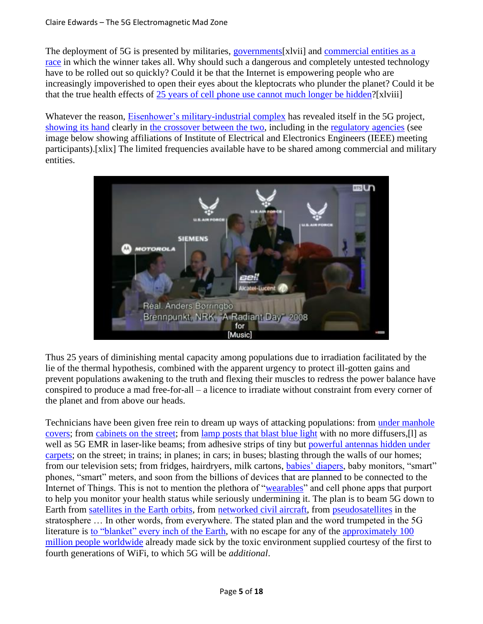The deployment of 5G is presented by militaries, governments [xlvii] and commercial entities as a [race](http://telecoms.com/opinion/the-5g-race-to-deployment-but-is-it-optimized-deployment/) in which the winner takes all. Why should such a dangerous and completely untested technology have to be rolled out so quickly? Could it be that the Internet is empowering people who are increasingly impoverished to open their eyes about the kleptocrats who plunder the planet? Could it be that the true health effects of [25 years of cell phone use cannot much longer be hidden?](https://www.bcbs.com/the-health-of-america/reports/the-health-of-millennials)[xlviii]

Whatever the reason, [Eisenhower's military-industrial complex](https://www.youtube.com/watch?v=8y06NSBBRtY) has revealed itself in the 5G project, [showing its hand](https://www.youtube.com/watch?v=22QlpjXR6DY) clearly in [the crossover between the two,](https://techtime.news/2018/01/%2015/analog-devices-phased-array-radar/) including in the [regulatory agencies](https://www.youtube.com/watch?v=PnnUbWRGJz8) (see image below showing affiliations of Institute of Electrical and Electronics Engineers (IEEE) meeting participants).[xlix] The limited frequencies available have to be shared among commercial and military entities.



Thus 25 years of diminishing mental capacity among populations due to irradiation facilitated by the lie of the thermal hypothesis, combined with the apparent urgency to protect ill-gotten gains and prevent populations awakening to the truth and flexing their muscles to redress the power balance have conspired to produce a mad free-for-all – a licence to irradiate without constraint from every corner of the planet and from above our heads.

Technicians have been given free rein to dream up ways of attacking populations: from [under manhole](https://venturebeat.com/2018/12/10/vodafone-will-hide-ericsson-4g-5g-cell-antennas-under-manhole-covers/)  [covers;](https://venturebeat.com/2018/12/10/vodafone-will-hide-ericsson-4g-5g-cell-antennas-under-manhole-covers/) from [cabinets on the street;](https://www.golem.de/news/berthold-sichert-5g-fuer-die-telekom-aus-dem-berlinermultifunktionsgehaeuse-%201901-138907.html?utm_source=nl.2019-01-%2023.html&utm_medium=e-mail&utm_campaign=golem.de-newsletter) from [lamp posts that blast blue light](https://eu.usatoday.com/story/tech/nation-now/2018/08/13/blue-light-phones-tablets-could-accelerate-blindness-study/974837002/) with no more diffusers,[l] as well as 5G EMR in laser-like beams; from adhesive strips of tiny but powerful antennas hidden under [carpets;](https://www.ericsson.com/en/blog/2019/2/radio-stripes) on the street; in trains; in planes; in cars; in buses; blasting through the walls of our homes; from our television sets; from fridges, hairdryers, milk cartons, [babies' diapers,](https://www.activistpost.com/2019/07/pampers-joins-huggies-in-selling-smart-diapers-despite-health-warnings-privacy-and-security-issues.html?utm_source=Activist+Post+Subscribers&utm_medium=email&utm_campaign=c365b326ce-RSS_EMAIL_CAMPAIGN&utm_term=0_b0c7fb7) baby monitors, "smart" phones, "smart" meters, and soon from the billions of devices that are planned to be connected to the Internet of Things. This is not to mention the plethora of ["wearables"](https://www.naturalblaze.com/2018/03/fitbit-recalls-emf-symptoms-wifi.html) and cell phone apps that purport to help you monitor your health status while seriously undermining it. The plan is to beam 5G down to Earth from [satellites in the Earth orbits,](https://takebackyourpower.net/5g-the-big-picture/) from [networked civil aircraft,](https://www.airbornewirelessnetwork.com/index.asp) from [pseudosatellites](https://satelliteobservation.net/2019/05/28/high-altitude-pseudosatellites-the-future-of-earth-observation/) in the stratosphere … In other words, from everywhere. The stated plan and the word trumpeted in the 5G literature is [to "blanket" every inch of the Earth,](https://www.broadbandcommission.org/Documents/publications/WG-Technologies-in-Space-Report2017.pdf) with no escape for any of the approximately 100 [million people worldwide](https://www.criirem.org/wp-content/uploads/2006/03/ehs2006_hallbergoberfeld.pdf) already made sick by the toxic environment supplied courtesy of the first to fourth generations of WiFi, to which 5G will be *additional*.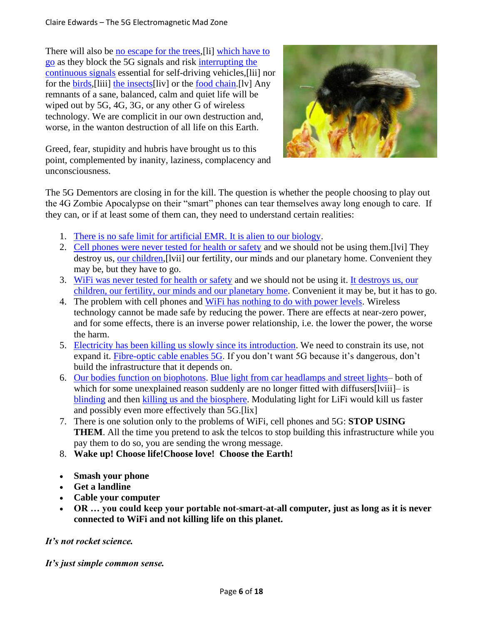There will also be [no escape for the trees,](https://www.youtube.com/watch?v=M--2HsWtpfc) [li] which have to [go](https://www.theguardian.com/business/2018/apr/29/millions-of-trees-at-risk-in-secretive-network-rail-felling-programme) as they block the 5G signals and risk [interrupting the](https://www.surrey.ac.uk/sites/default/files/2018-03/white-paper-rural-5G-vision.pdf)  [continuous signals](https://www.surrey.ac.uk/sites/default/files/2018-03/white-paper-rural-5G-vision.pdf) essential for self-driving vehicles,[lii] nor for the [birds,](https://www.newsweek.com/migratory-birds-bee-navigation-5g-technology-electromagnetic-radiation-934830)[liii] [the insects\[](https://www.nytimes.com/2018/11/27/magazine/insect-apocalypse.html?action=click%26module=Top%20Stories%26pgtype=Homepage&ut)liv] or the [food chain.](https://www.youtube.com/watch?v=MpdJ_t5XMvw)[lv] Any remnants of a sane, balanced, calm and quiet life will be wiped out by 5G, 4G, 3G, or any other G of wireless technology. We are complicit in our own destruction and, worse, in the wanton destruction of all life on this Earth.



Greed, fear, stupidity and hubris have brought us to this point, complemented by inanity, laziness, complacency and unconsciousness.

The 5G Dementors are closing in for the kill. The question is whether the people choosing to play out the 4G Zombie Apocalypse on their "smart" phones can tear themselves away long enough to care. If they can, or if at least some of them can, they need to understand certain realities:

- 1. [There is no safe limit for artificial EMR. It is alien to our biology.](https://newsvoice.se/2019/05/5g-question-olle-johansson/)
- 2. [Cell phones were never tested for health or safety](https://ehtrust.org/wp-content/uploads/Pall-Letter-to-CalLegis-FINAL-8-7-17.pdf) and we should not be using them.[lvi] They destroy us, [our children,](https://wirelessaction.wordpress.com/irradiated/) [lvii] our fertility, our minds and our planetary home. Convenient they may be, but they have to go.
- 3. [WiFi was never tested for health or safety](https://ehtrust.org/policy/fcc-safety-standards/) and we should not be using it. [It destroys us, our](https://www.youtube.com/watch?v=1eX93fZD0gk)  [children, our fertility, our minds and our planetary home.](https://www.youtube.com/watch?v=1eX93fZD0gk) Convenient it may be, but it has to go.
- 4. The problem with cell phones and [WiFi has nothing to do with power levels.](https://www.globalresearch.ca/online-bbc-fake-news-5g-decoded/5687055) Wireless technology cannot be made safe by reducing the power. There are effects at near-zero power, and for some effects, there is an inverse power relationship, i.e. the lower the power, the worse the harm.
- 5. [Electricity has been killing us slowly since its introduction.](https://www.5gexposed.com/wp-content/uploads/2019/04/English-Summary-of-The-Invisible-Rainbow-A-History-of-Electricity-and-Life-3.pdf) We need to constrain its use, not expand it. [Fibre-optic cable enables 5G.](https://www.4fiber.com/blog/5g-wireless-fiber-optics/) If you don't want 5G because it's dangerous, don't build the infrastructure that it depends on.
- 6. [Our bodies function on biophotons.](https://www.greenmedinfo.com/blog/biophotons-human-body-emits-communicates-and-made-light) [Blue light from car headlamps and street lights–](https://www.youtube.com/watch?v=YRJPCemddJk) both of which for some unexplained reason suddenly are no longer fitted with diffusers[lviii]– is [blinding](https://phys.org/news/2018-08-chemists-blue.html) and then [killing us and the biosphere.](https://www.anses.fr/fr/system/files/AP2014SA0253Ra-Anx.pdf) Modulating light for LiFi would kill us faster and possibly even more effectively than 5G.[lix]
- 7. There is one solution only to the problems of WiFi, cell phones and 5G: **STOP USING THEM**. All the time you pretend to ask the telcos to stop building this infrastructure while you pay them to do so, you are sending the wrong message.
- 8. **Wake up! Choose life!Choose love! Choose the Earth!**
- **Smash your phone**
- **Get a landline**
- **Cable your computer**
- **OR … you could keep your portable not-smart-at-all computer, just as long as it is never connected to WiFi and not killing life on this planet.**

## *It's not rocket science.*

*It's just simple common sense.*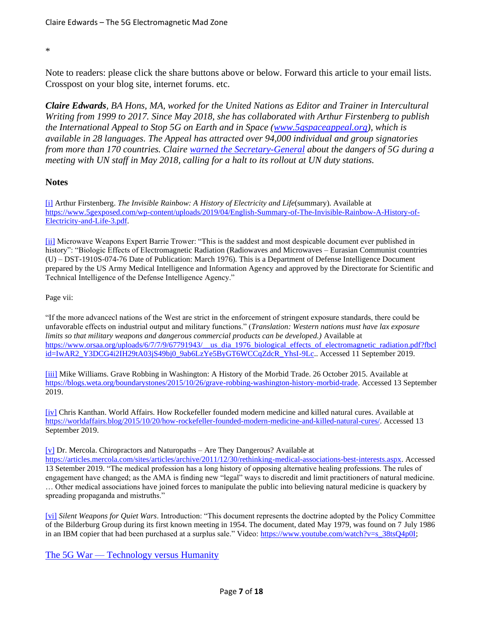#### \*

Note to readers: please click the share buttons above or below. Forward this article to your email lists. Crosspost on your blog site, internet forums. etc.

*Claire Edwards, BA Hons, MA, worked for the United Nations as Editor and Trainer in Intercultural Writing from 1999 to 2017. Since May 2018, she has collaborated with Arthur Firstenberg to publish the International Appeal to Stop 5G on Earth and in Space [\(www.5gspaceappeal.org\)](http://www.5gspaceappeal.org/), which is available in 28 languages. The Appeal has attracted over 94,000 individual and group signatories from more than 170 countries. Claire [warned the Secretary-General](https://takebackyourpower.net/un-staff-member-5g-is-war-on-humanity/) about the dangers of 5G during a meeting with UN staff in May 2018, calling for a halt to its rollout at UN duty stations.*

### **Notes**

[\[i\]](applewebdata://0397F4EB-5BD7-4232-B1F6-19AF84E14EDE/#_ednref1) Arthur Firstenberg. *The Invisible Rainbow: A History of Electricity and Life*(summary). Available at [https://www.5gexposed.com/wp-content/uploads/2019/04/English-Summary-of-The-Invisible-Rainbow-A-History-of-](https://www.5gexposed.com/wp-content/uploads/2019/04/English-Summary-of-The-Invisible-Rainbow-A-History-of-Electricity-and-Life-3.pdf)[Electricity-and-Life-3.pdf.](https://www.5gexposed.com/wp-content/uploads/2019/04/English-Summary-of-The-Invisible-Rainbow-A-History-of-Electricity-and-Life-3.pdf)

[\[ii\]](applewebdata://0397F4EB-5BD7-4232-B1F6-19AF84E14EDE/#_ednref2) Microwave Weapons Expert Barrie Trower: "This is the saddest and most despicable document ever published in history": "Biologic Effects of Electromagnetic Radiation (Radiowaves and Microwaves – Eurasian Communist countries (U) – DST-1910S-074-76 Date of Publication: March 1976). This is a Department of Defense Intelligence Document prepared by the US Army Medical Intelligence and Information Agency and approved by the Directorate for Scientific and Technical Intelligence of the Defense Intelligence Agency."

Page vii:

"If the more advancecl nations of the West are strict in the enforcement of stringent exposure standards, there could be unfavorable effects on industrial output and military functions." (*Translation: Western nations must have lax exposure limits so that military weapons and dangerous commercial products can be developed.)* Available at [https://www.orsaa.org/uploads/6/7/7/9/67791943/\\_\\_us\\_dia\\_1976\\_biological\\_effects\\_of\\_electromagnetic\\_radiation.pdf?fbcl](https://www.orsaa.org/uploads/6/7/7/9/67791943/__us_dia_1976_biological_effects_of_electromagnetic_radiation.pdf?fbclid=IwAR2_Y3DCG4i2IH29tA03jS49bj0_9ab6LzYe5ByGT6WCCqZdcR_YhsI-9Lc) [id=IwAR2\\_Y3DCG4i2IH29tA03jS49bj0\\_9ab6LzYe5ByGT6WCCqZdcR\\_YhsI-9Lc.](https://www.orsaa.org/uploads/6/7/7/9/67791943/__us_dia_1976_biological_effects_of_electromagnetic_radiation.pdf?fbclid=IwAR2_Y3DCG4i2IH29tA03jS49bj0_9ab6LzYe5ByGT6WCCqZdcR_YhsI-9Lc). Accessed 11 September 2019.

[\[iii\]](applewebdata://0397F4EB-5BD7-4232-B1F6-19AF84E14EDE/#_ednref3) Mike Williams. Grave Robbing in Washington: A History of the Morbid Trade. 26 October 2015. Available at [https://blogs.weta.org/boundarystones/2015/10/26/grave-robbing-washington-history-morbid-trade.](https://blogs.weta.org/boundarystones/2015/10/26/grave-robbing-washington-history-morbid-trade) Accessed 13 September 2019.

[\[iv\]](applewebdata://0397F4EB-5BD7-4232-B1F6-19AF84E14EDE/#_ednref4) Chris Kanthan. World Affairs. How Rockefeller founded modern medicine and killed natural cures. Available at [https://worldaffairs.blog/2015/10/20/how-rockefeller-founded-modern-medicine-and-killed-natural-cures/.](https://worldaffairs.blog/2015/10/20/how-rockefeller-founded-modern-medicine-and-killed-natural-cures/) Accessed 13 September 2019.

#### [\[v\]](applewebdata://0397F4EB-5BD7-4232-B1F6-19AF84E14EDE/#_ednref5) Dr. Mercola. Chiropractors and Naturopaths – Are They Dangerous? Available at

[https://articles.mercola.com/sites/articles/archive/2011/12/30/rethinking-medical-associations-best-interests.aspx.](https://articles.mercola.com/sites/articles/archive/2011/12/30/rethinking-medical-associations-best-interests.aspx) Accessed 13 Setember 2019. "The medical profession has a long history of opposing alternative healing professions. The rules of engagement have changed; as the AMA is finding new "legal" ways to discredit and limit practitioners of natural medicine. … Other medical associations have joined forces to manipulate the public into believing natural medicine is quackery by spreading propaganda and mistruths."

[\[vi\]](applewebdata://0397F4EB-5BD7-4232-B1F6-19AF84E14EDE/#_ednref6) *Silent Weapons for Quiet Wars*. Introduction: "This document represents the doctrine adopted by the Policy Committee of the Bilderburg Group during its first known meeting in 1954. The document, dated May 1979, was found on 7 July 1986 in an IBM copier that had been purchased at a surplus sale." Video: [https://www.youtube.com/watch?v=s\\_38tsQ4p0I;](https://www.youtube.com/watch?v=s_38tsQ4p0I)

The 5G War — [Technology versus Humanity](https://www.globalresearch.ca/the-5g-war-technology-versus-humanity/5681181)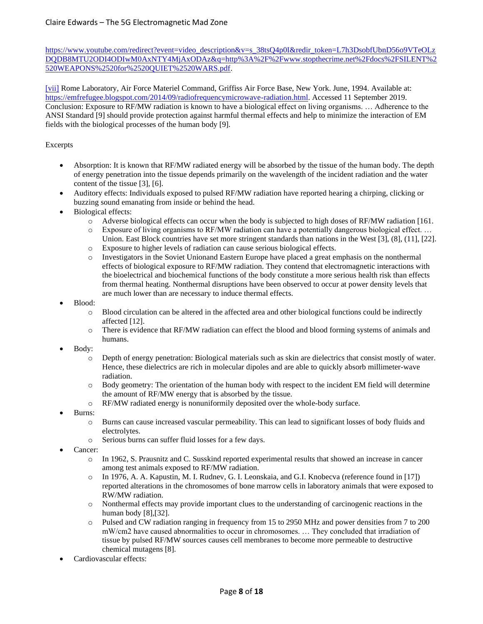https://www.youtube.com/redirect?event=video\_description&v=s\_38tsQ4p0I&redir\_token=L7h3DsobfUbnD56o9VTeOLz [DQDB8MTU2ODI4ODIwM0AxNTY4MjAxODAz&q=http%3A%2F%2Fwww.stopthecrime.net%2Fdocs%2FSILENT%2](https://www.youtube.com/redirect?event=video_description&v=s_38tsQ4p0I&redir_token=L7h3DsobfUbnD56o9VTeOLzDQDB8MTU2ODI4ODIwM0AxNTY4MjAxODAz&q=http%3A%2F%2Fwww.stopthecrime.net%2Fdocs%2FSILENT%2520WEAPONS%2520for%2520QUIET%2520WARS.pdf) [520WEAPONS%2520for%2520QUIET%2520WARS.pdf.](https://www.youtube.com/redirect?event=video_description&v=s_38tsQ4p0I&redir_token=L7h3DsobfUbnD56o9VTeOLzDQDB8MTU2ODI4ODIwM0AxNTY4MjAxODAz&q=http%3A%2F%2Fwww.stopthecrime.net%2Fdocs%2FSILENT%2520WEAPONS%2520for%2520QUIET%2520WARS.pdf)

[\[vii\]](applewebdata://0397F4EB-5BD7-4232-B1F6-19AF84E14EDE/#_ednref7) Rome Laboratory, Air Force Materiel Command, Griffiss Air Force Base, New York. June, 1994. Available at: [https://emfrefugee.blogspot.com/2014/09/radiofrequencymicrowave-radiation.html.](https://emfrefugee.blogspot.com/2014/09/radiofrequencymicrowave-radiation.html) Accessed 11 September 2019. Conclusion: Exposure to RF/MW radiation is known to have a biological effect on living organisms. … Adherence to the ANSI Standard [9] should provide protection against harmful thermal effects and help to minimize the interaction of EM fields with the biological processes of the human body [9].

#### Excerpts

- Absorption: It is known that RF/MW radiated energy will be absorbed by the tissue of the human body. The depth of energy penetration into the tissue depends primarily on the wavelength of the incident radiation and the water content of the tissue [3], [6].
- Auditory effects: Individuals exposed to pulsed RF/MW radiation have reported hearing a chirping, clicking or buzzing sound emanating from inside or behind the head.
- Biological effects:
	- o Adverse biological effects can occur when the body is subjected to high doses of RF/MW radiation [161.
	- o Exposure of living organisms to RF/MW radiation can have a potentially dangerous biological effect. … Union. East Block countries have set more stringent standards than nations in the West [3], (8], (11], [22].
	- o Exposure to higher levels of radiation can cause serious biological effects.
	- o Investigators in the Soviet Unionand Eastern Europe have placed a great emphasis on the nonthermal effects of biological exposure to RF/MW radiation. They contend that electromagnetic interactions with the bioelectrical and biochemical functions of the body constitute a more serious health risk than effects from thermal heating. Nonthermal disruptions have been observed to occur at power density levels that are much lower than are necessary to induce thermal effects.
- Blood:
	- o Blood circulation can be altered in the affected area and other biological functions could be indirectly affected [12].
	- o There is evidence that RF/MW radiation can effect the blood and blood forming systems of animals and humans.
- Body:
	- o Depth of energy penetration: Biological materials such as skin are dielectrics that consist mostly of water. Hence, these dielectrics are rich in molecular dipoles and are able to quickly absorb millimeter-wave radiation.
	- o Body geometry: The orientation of the human body with respect to the incident EM field will determine the amount of RF/MW energy that is absorbed by the tissue.
	- o RF/MW radiated energy is nonuniformily deposited over the whole-body surface.
- Burns:
	- o Burns can cause increased vascular permeability. This can lead to significant losses of body fluids and electrolytes.
	- o Serious burns can suffer fluid losses for a few days.
- Cancer:
	- o In 1962, S. Prausnitz and C. Susskind reported experimental results that showed an increase in cancer among test animals exposed to RF/MW radiation.
	- o In 1976, A. A. Kapustin, M. I. Rudnev, G. I. Leonskaia, and G.I. Knobecva (reference found in [17]) reported alterations in the chromosomes of bone marrow cells in laboratory animals that were exposed to RW/MW radiation.
	- o Nonthermal effects may provide important clues to the understanding of carcinogenic reactions in the human body [8],[32].
	- o Pulsed and CW radiation ranging in frequency from 15 to 2950 MHz and power densities from 7 to 200 mW/cm2 have caused abnormalities to occur in chromosomes. … They concluded that irradiation of tissue by pulsed RF/MW sources causes cell membranes to become more permeable to destructive chemical mutagens [8].
- Cardiovascular effects: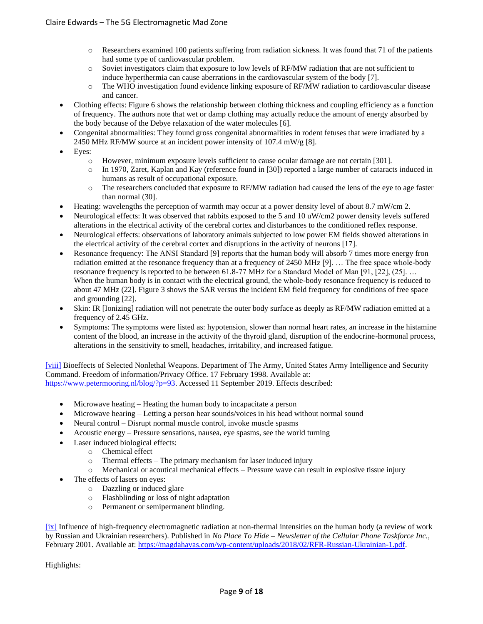- o Researchers examined 100 patients suffering from radiation sickness. It was found that 71 of the patients had some type of cardiovascular problem.
- o Soviet investigators claim that exposure to low levels of RF/MW radiation that are not sufficient to induce hyperthermia can cause aberrations in the cardiovascular system of the body [7].
- o The WHO investigation found evidence linking exposure of RF/MW radiation to cardiovascular disease and cancer.
- Clothing effects: Figure 6 shows the relationship between clothing thickness and coupling efficiency as a function of frequency. The authors note that wet or damp clothing may actually reduce the amount of energy absorbed by the body because of the Debye relaxation of the water molecules [6].
- Congenital abnormalities: They found gross congenital abnormalities in rodent fetuses that were irradiated by a 2450 MHz RF/MW source at an incident power intensity of 107.4 mW/g [8].
- Eyes:
	- o However, minimum exposure levels sufficient to cause ocular damage are not certain [301].
	- o In 1970, Zaret, Kaplan and Kay (reference found in [30]) reported a large number of cataracts induced in humans as result of occupational exposure.
	- o The researchers concluded that exposure to RF/MW radiation had caused the lens of the eye to age faster than normal (30].
- Heating: wavelengths the perception of warmth may occur at a power density level of about 8.7 mW/cm 2.
- Neurological effects: It was observed that rabbits exposed to the 5 and 10 uW/cm2 power density levels suffered alterations in the electrical activity of the cerebral cortex and disturbances to the conditioned reflex response.
- Neurological effects: observations of laboratory animals subjected to low power EM fields showed alterations in the electrical activity of the cerebral cortex and disruptions in the activity of neurons [17].
- Resonance frequency: The ANSI Standard [9] reports that the human body will absorb 7 times more energy fron radiation emitted at the resonance frequency than at a frequency of 2450 MHz [9]. … The free space whole-body resonance frequency is reported to be between 61.8-77 MHz for a Standard Model of Man [91, [22], (25]. … When the human body is in contact with the electrical ground, the whole-body resonance frequency is reduced to about 47 MHz (22]. Figure 3 shows the SAR versus the incident EM field frequency for conditions of free space and grounding [22].
- Skin: IR [Ionizing] radiation will not penetrate the outer body surface as deeply as RF/MW radiation emitted at a frequency of 2.45 GHz.
- Symptoms: The symptoms were listed as: hypotension, slower than normal heart rates, an increase in the histamine content of the blood, an increase in the activity of the thyroid gland, disruption of the endocrine-hormonal process, alterations in the sensitivity to smell, headaches, irritability, and increased fatigue.

[\[viii\]](applewebdata://0397F4EB-5BD7-4232-B1F6-19AF84E14EDE/#_ednref8) Bioeffects of Selected Nonlethal Weapons. Department of The Army, United States Army Intelligence and Security Command. Freedom of information/Privacy Office. 17 February 1998. Available at: [https://www.petermooring.nl/blog/?p=93.](https://www.petermooring.nl/blog/?p=93) Accessed 11 September 2019. Effects described:

- Microwave heating Heating the human body to incapacitate a person
- Microwave hearing Letting a person hear sounds/voices in his head without normal sound
- Neural control Disrupt normal muscle control, invoke muscle spasms
- Acoustic energy Pressure sensations, nausea, eye spasms, see the world turning
- Laser induced biological effects:
	- o Chemical effect
	- o Thermal effects The primary mechanism for laser induced injury
	- o Mechanical or acoutical mechanical effects Pressure wave can result in explosive tissue injury
- The effects of lasers on eyes:
	- o Dazzling or induced glare
	- o Flashblinding or loss of night adaptation
	- o Permanent or semipermanent blinding.

[\[ix\]](applewebdata://0397F4EB-5BD7-4232-B1F6-19AF84E14EDE/#_ednref9) Influence of high-frequency electromagnetic radiation at non-thermal intensities on the human body (a review of work by Russian and Ukrainian researchers). Published in *No Place To Hide – Newsletter of the Cellular Phone Taskforce Inc.*, February 2001. Available at: [https://magdahavas.com/wp-content/uploads/2018/02/RFR-Russian-Ukrainian-1.pdf.](https://magdahavas.com/wp-content/uploads/2018/02/RFR-Russian-Ukrainian-1.pdf)

Highlights: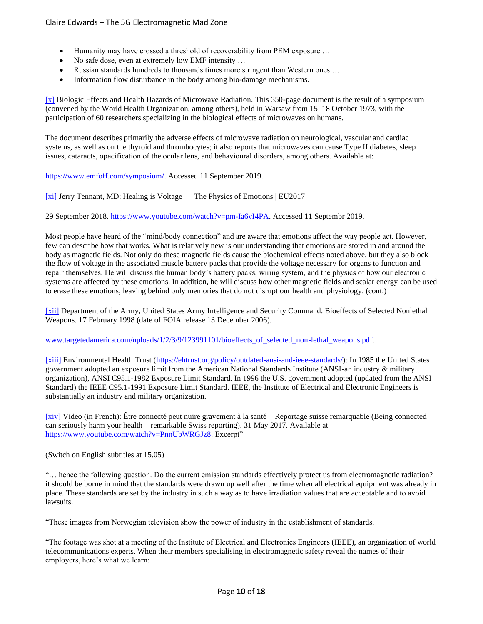- Humanity may have crossed a threshold of recoverability from PEM exposure …
- No safe dose, even at extremely low EMF intensity …
- Russian standards hundreds to thousands times more stringent than Western ones …
- Information flow disturbance in the body among bio-damage mechanisms.

[\[x\]](applewebdata://0397F4EB-5BD7-4232-B1F6-19AF84E14EDE/#_ednref10) Biologic Effects and Health Hazards of Microwave Radiation. This 350-page document is the result of a symposium (convened by the World Health Organization, among others), held in Warsaw from 15–18 October 1973, with the participation of 60 researchers specializing in the biological effects of microwaves on humans.

The document describes primarily the adverse effects of microwave radiation on neurological, vascular and cardiac systems, as well as on the thyroid and thrombocytes; it also reports that microwaves can cause Type II diabetes, sleep issues, cataracts, opacification of the ocular lens, and behavioural disorders, among others. Available at:

[https://www.emfoff.com/symposium/.](https://www.emfoff.com/symposium/) Accessed 11 September 2019.

[\[xi\]](applewebdata://0397F4EB-5BD7-4232-B1F6-19AF84E14EDE/#_ednref11) Jerry Tennant, MD: Healing is Voltage — The Physics of Emotions | EU2017

29 September 2018. [https://www.youtube.com/watch?v=pm-Ia6vI4PA.](https://www.youtube.com/watch?v=pm-Ia6vI4PA) Accessed 11 Septembr 2019.

Most people have heard of the "mind/body connection" and are aware that emotions affect the way people act. However, few can describe how that works. What is relatively new is our understanding that emotions are stored in and around the body as magnetic fields. Not only do these magnetic fields cause the biochemical effects noted above, but they also block the flow of voltage in the associated muscle battery packs that provide the voltage necessary for organs to function and repair themselves. He will discuss the human body's battery packs, wiring system, and the physics of how our electronic systems are affected by these emotions. In addition, he will discuss how other magnetic fields and scalar energy can be used to erase these emotions, leaving behind only memories that do not disrupt our health and physiology. (cont.)

[\[xii\]](applewebdata://0397F4EB-5BD7-4232-B1F6-19AF84E14EDE/#_ednref12) Department of the Army, United States Army Intelligence and Security Command. Bioeffects of Selected Nonlethal Weapons. 17 February 1998 (date of FOIA release 13 December 2006).

[www.targetedamerica.com/uploads/1/2/3/9/123991101/bioeffects\\_of\\_selected\\_non-lethal\\_weapons.pdf.](https://www.targetedamerica.com/uploads/1/2/3/9/123991101/bioeffects_of_selected_non-lethal_weapons.pdf)

[\[xiii\]](applewebdata://0397F4EB-5BD7-4232-B1F6-19AF84E14EDE/#_ednref13) Environmental Health Trust [\(https://ehtrust.org/policy/outdated-ansi-and-ieee-standards/\)](https://ehtrust.org/policy/outdated-ansi-and-ieee-standards/): In 1985 the United States government adopted an exposure limit from the American National Standards Institute (ANSI-an industry & military organization), ANSI C95.1-1982 Exposure Limit Standard. In 1996 the U.S. government adopted (updated from the ANSI Standard) the IEEE C95.1-1991 Exposure Limit Standard. IEEE, the Institute of Electrical and Electronic Engineers is substantially an industry and military organization.

[\[xiv\]](applewebdata://0397F4EB-5BD7-4232-B1F6-19AF84E14EDE/#_ednref14) Video (in French): Être connecté peut nuire gravement à la santé – Reportage suisse remarquable (Being connected can seriously harm your health – remarkable Swiss reporting). 31 May 2017. Available at [https://www.youtube.com/watch?v=PnnUbWRGJz8.](https://www.youtube.com/watch?v=PnnUbWRGJz8) Excerpt"

(Switch on English subtitles at 15.05)

"… hence the following question. Do the current emission standards effectively protect us from electromagnetic radiation? it should be borne in mind that the standards were drawn up well after the time when all electrical equipment was already in place. These standards are set by the industry in such a way as to have irradiation values that are acceptable and to avoid lawsuits.

"These images from Norwegian television show the power of industry in the establishment of standards.

"The footage was shot at a meeting of the Institute of Electrical and Electronics Engineers (IEEE), an organization of world telecommunications experts. When their members specialising in electromagnetic safety reveal the names of their employers, here's what we learn: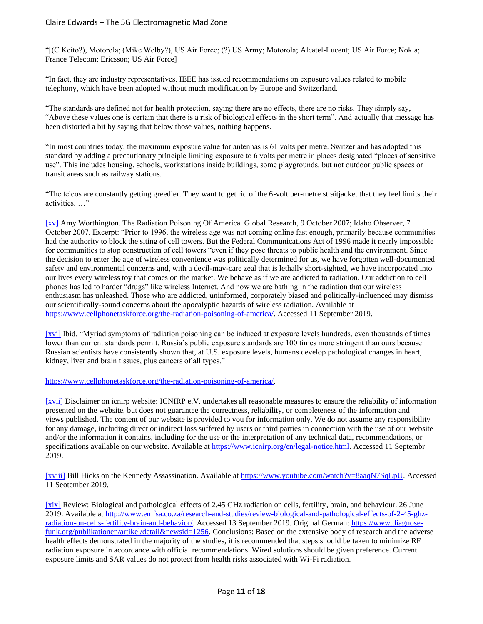"[(C Keito?), Motorola; (Mike Welby?), US Air Force; (?) US Army; Motorola; Alcatel-Lucent; US Air Force; Nokia; France Telecom; Ericsson; US Air Force]

"In fact, they are industry representatives. IEEE has issued recommendations on exposure values related to mobile telephony, which have been adopted without much modification by Europe and Switzerland.

"The standards are defined not for health protection, saying there are no effects, there are no risks. They simply say, "Above these values one is certain that there is a risk of biological effects in the short term". And actually that message has been distorted a bit by saying that below those values, nothing happens.

"In most countries today, the maximum exposure value for antennas is 61 volts per metre. Switzerland has adopted this standard by adding a precautionary principle limiting exposure to 6 volts per metre in places designated "places of sensitive use". This includes housing, schools, workstations inside buildings, some playgrounds, but not outdoor public spaces or transit areas such as railway stations.

"The telcos are constantly getting greedier. They want to get rid of the 6-volt per-metre straitjacket that they feel limits their activities. …"

[\[xv\]](applewebdata://0397F4EB-5BD7-4232-B1F6-19AF84E14EDE/#_ednref15) Amy Worthington. The Radiation Poisoning Of America. Global Research, 9 October 2007; Idaho Observer, 7 October 2007. Excerpt: "Prior to 1996, the wireless age was not coming online fast enough, primarily because communities had the authority to block the siting of cell towers. But the Federal Communications Act of 1996 made it nearly impossible for communities to stop construction of cell towers "even if they pose threats to public health and the environment. Since the decision to enter the age of wireless convenience was politically determined for us, we have forgotten well-documented safety and environmental concerns and, with a devil-may-care zeal that is lethally short-sighted, we have incorporated into our lives every wireless toy that comes on the market. We behave as if we are addicted to radiation. Our addiction to cell phones has led to harder "drugs" like wireless Internet. And now we are bathing in the radiation that our wireless enthusiasm has unleashed. Those who are addicted, uninformed, corporately biased and politically-influenced may dismiss our scientifically-sound concerns about the apocalyptic hazards of wireless radiation. Available at [https://www.cellphonetaskforce.org/the-radiation-poisoning-of-america/.](https://www.cellphonetaskforce.org/the-radiation-poisoning-of-america/) Accessed 11 September 2019.

[\[xvi\]](applewebdata://0397F4EB-5BD7-4232-B1F6-19AF84E14EDE/#_ednref16) Ibid. "Myriad symptoms of radiation poisoning can be induced at exposure levels hundreds, even thousands of times lower than current standards permit. Russia's public exposure standards are 100 times more stringent than ours because Russian scientists have consistently shown that, at U.S. exposure levels, humans develop pathological changes in heart, kidney, liver and brain tissues, plus cancers of all types."

[https://www.cellphonetaskforce.org/the-radiation-poisoning-of-america/.](https://www.cellphonetaskforce.org/the-radiation-poisoning-of-america/)

[\[xvii\]](applewebdata://0397F4EB-5BD7-4232-B1F6-19AF84E14EDE/#_ednref17) Disclaimer on icnirp website: ICNIRP e.V. undertakes all reasonable measures to ensure the reliability of information presented on the website, but does not guarantee the correctness, reliability, or completeness of the information and views published. The content of our website is provided to you for information only. We do not assume any responsibility for any damage, including direct or indirect loss suffered by users or third parties in connection with the use of our website and/or the information it contains, including for the use or the interpretation of any technical data, recommendations, or specifications available on our website. Available a[t https://www.icnirp.org/en/legal-notice.html.](https://www.icnirp.org/en/legal-notice.html) Accessed 11 Septembr 2019.

[\[xviii\]](applewebdata://0397F4EB-5BD7-4232-B1F6-19AF84E14EDE/#_ednref18) Bill Hicks on the Kennedy Assassination. Available at [https://www.youtube.com/watch?v=8aaqN7SqLpU.](https://www.youtube.com/watch?v=8aaqN7SqLpU) Accessed 11 Seotember 2019.

[\[xix\]](applewebdata://486B63CB-A0E4-4DC9-972E-DBB062329953/#_ednref1) Review: Biological and pathological effects of 2.45 GHz radiation on cells, fertility, brain, and behaviour. 26 June 2019. Available a[t http://www.emfsa.co.za/research-and-studies/review-biological-and-pathological-effects-of-2-45-ghz](http://www.emfsa.co.za/research-and-studies/review-biological-and-pathological-effects-of-2-45-ghz-radiation-on-cells-fertility-brain-and-behavior/)[radiation-on-cells-fertility-brain-and-behavior/.](http://www.emfsa.co.za/research-and-studies/review-biological-and-pathological-effects-of-2-45-ghz-radiation-on-cells-fertility-brain-and-behavior/) Accessed 13 September 2019. Original German: [https://www.diagnose](https://www.diagnose-funk.org/publikationen/artikel/detail&newsid=1256)[funk.org/publikationen/artikel/detail&newsid=1256.](https://www.diagnose-funk.org/publikationen/artikel/detail&newsid=1256) Conclusions: Based on the extensive body of research and the adverse health effects demonstrated in the majority of the studies, it is recommended that steps should be taken to minimize RF radiation exposure in accordance with official recommendations. Wired solutions should be given preference. Current exposure limits and SAR values do not protect from health risks associated with Wi-Fi radiation.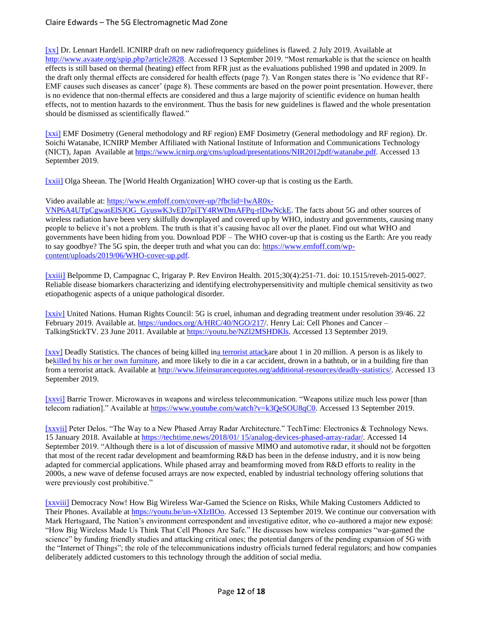[\[xx\]](applewebdata://486B63CB-A0E4-4DC9-972E-DBB062329953/#_ednref2) Dr. Lennart Hardell. ICNIRP draft on new radiofrequency guidelines is flawed. 2 July 2019. Available at [http://www.avaate.org/spip.php?article2828.](http://www.avaate.org/spip.php?article2828) Accessed 13 September 2019. "Most remarkable is that the science on health effects is still based on thermal (heating) effect from RFR just as the evaluations published 1998 and updated in 2009. In the draft only thermal effects are considered for health effects (page 7). Van Rongen states there is 'No evidence that RF-EMF causes such diseases as cancer' (page 8). These comments are based on the power point presentation. However, there is no evidence that non-thermal effects are considered and thus a large majority of scientific evidence on human health effects, not to mention hazards to the environment. Thus the basis for new guidelines is flawed and the whole presentation should be dismissed as scientifically flawed."

[\[xxi\]](applewebdata://486B63CB-A0E4-4DC9-972E-DBB062329953/#_ednref3) EMF Dosimetry (General methodology and RF region) EMF Dosimetry (General methodology and RF region). Dr. Soichi Watanabe, ICNIRP Member Affiliated with National Institute of Information and Communications Technology (NICT), Japan Available a[t https://www.icnirp.org/cms/upload/presentations/NIR2012pdf/watanabe.pdf.](https://www.icnirp.org/cms/upload/presentations/NIR2012pdf/watanabe.pdf) Accessed 13 September 2019.

[\[xxii\]](applewebdata://486B63CB-A0E4-4DC9-972E-DBB062329953/#_ednref4) Olga Sheean. The [World Health Organization] WHO cover-up that is costing us the Earth.

Video available at[: https://www.emfoff.com/cover-up/?fbclid=IwAR0x-](https://www.emfoff.com/cover-up/?fbclid=IwAR0x-VNP6A4UTpCgwasElSJOG_GyuswK3vED7piTY4RWDmAFPq-rlDwNckE)

[VNP6A4UTpCgwasElSJOG\\_GyuswK3vED7piTY4RWDmAFPq-rlDwNckE.](https://www.emfoff.com/cover-up/?fbclid=IwAR0x-VNP6A4UTpCgwasElSJOG_GyuswK3vED7piTY4RWDmAFPq-rlDwNckE) The facts about 5G and other sources of wireless radiation have been very skilfully downplayed and covered up by WHO, industry and governments, causing many people to believe it's not a problem. The truth is that it's causing havoc all over the planet. Find out what WHO and governments have been hiding from you. Download PDF – The WHO cover-up that is costing us the Earth: Are you ready to say goodbye? The 5G spin, the deeper truth and what you can do: [https://www.emfoff.com/wp](https://www.emfoff.com/wp-content/uploads/2019/06/WHO-cover-up.pdf)[content/uploads/2019/06/WHO-cover-up.pdf.](https://www.emfoff.com/wp-content/uploads/2019/06/WHO-cover-up.pdf)

[\[xxiii\]](applewebdata://486B63CB-A0E4-4DC9-972E-DBB062329953/#_ednref5) Belpomme D, Campagnac C, Irigaray P. Rev Environ Health. 2015;30(4):251-71. doi: 10.1515/reveh-2015-0027. Reliable disease biomarkers characterizing and identifying electrohypersensitivity and multiple chemical sensitivity as two etiopathogenic aspects of a unique pathological disorder.

[\[xxiv\]](applewebdata://57660306-E04F-451D-9184-72AF8487151D/#_ednref1) United Nations. Human Rights Council: 5G is cruel, inhuman and degrading treatment under resolution 39/46. 22 February 2019. Available at. [https://undocs.org/A/HRC/40/NGO/217/](https://undocs.org/A/HRC/40/NGO/217). Henry Lai: Cell Phones and Cancer – TalkingStickTV. 23 June 2011. Available at [https://youtu.be/NZl2MSHDKls.](https://youtu.be/NZl2MSHDKls) Accessed 13 September 2019.

[\[xxv\]](applewebdata://57660306-E04F-451D-9184-72AF8487151D/#_ednref2) Deadly Statistics. The chances of being killed i[na terrorist attacka](https://reason.com/archives/2011/09/06/how-scared-of-terrorism-should)re about 1 in 20 million. A person is as likely to b[ekilled by his or her own furniture,](https://www.theatlantic.com/international/archive/2012/06/americans-are-as-likely-to-be-killed-by-their-own-furniture-as-by-terrorism/258156/) and more likely to die in a car accident, drown in a bathtub, or in a building fire than from a terrorist attack. Available at [http://www.lifeinsurancequotes.org/additional-resources/deadly-statistics/.](http://www.lifeinsurancequotes.org/additional-resources/deadly-statistics/) Accessed 13 September 2019.

[\[xxvi\]](applewebdata://57660306-E04F-451D-9184-72AF8487151D/#_ednref3) Barrie Trower. Microwaves in weapons and wireless telecommunication. "Weapons utilize much less power [than telecom radiation]." Available at [https://www.youtube.com/watch?v=k3QeSOU8qC0.](https://www.youtube.com/watch?v=k3QeSOU8qC0) Accessed 13 September 2019.

[\[xxvii\]](applewebdata://57660306-E04F-451D-9184-72AF8487151D/#_ednref4) Peter Delos. "The Way to a New Phased Array Radar Architecture." TechTime: Electronics & Technology News. 15 January 2018. Available at [https://techtime.news/2018/01/ 15/analog-devices-phased-array-radar/.](https://techtime.news/2018/01/%2015/analog-devices-phased-array-radar/) Accessed 14 September 2019. "Although there is a lot of discussion of massive MIMO and automotive radar, it should not be forgotten that most of the recent radar development and beamforming R&D has been in the defense industry, and it is now being adapted for commercial applications. While phased array and beamforming moved from R&D efforts to reality in the 2000s, a new wave of defense focused arrays are now expected, enabled by industrial technology offering solutions that were previously cost prohibitive."

[\[xxviii\]](applewebdata://57660306-E04F-451D-9184-72AF8487151D/#_ednref5) Democracy Now! How Big Wireless War-Gamed the Science on Risks, While Making Customers Addicted to Their Phones. Available a[t https://youtu.be/un-vXIzIIOo.](https://youtu.be/un-vXIzIIOo) Accessed 13 September 2019. We continue our conversation with Mark Hertsgaard, The Nation's environment correspondent and investigative editor, who co-authored a major new exposé: "How Big Wireless Made Us Think That Cell Phones Are Safe." He discusses how wireless companies "war-gamed the science" by funding friendly studies and attacking critical ones; the potential dangers of the pending expansion of 5G with the "Internet of Things"; the role of the telecommunications industry officials turned federal regulators; and how companies deliberately addicted customers to this technology through the addition of social media.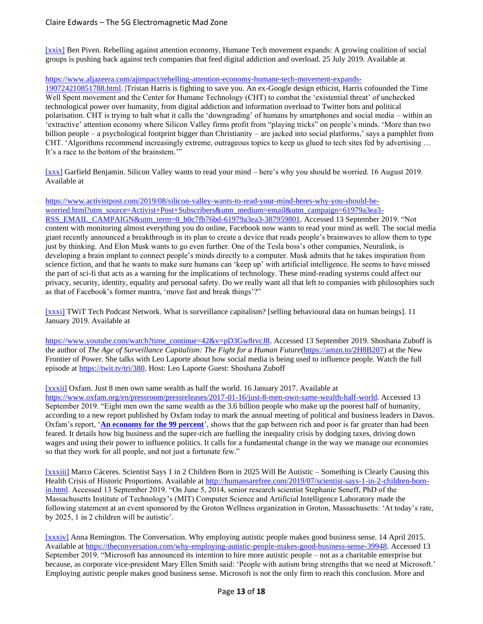[\[xxix\]](applewebdata://57660306-E04F-451D-9184-72AF8487151D/#_ednref6) Ben Piven. Rebelling against attention economy, Humane Tech movement expands: A growing coalition of social groups is pushing back against tech companies that feed digital addiction and overload. 25 July 2019. Available at

[https://www.aljazeera.com/ajimpact/rebelling-attention-economy-humane-tech-movement-expands-](https://www.aljazeera.com/ajimpact/rebelling-attention-economy-humane-tech-movement-expands-190724210851788.html)

[190724210851788.html.](https://www.aljazeera.com/ajimpact/rebelling-attention-economy-humane-tech-movement-expands-190724210851788.html) |Tristan Harris is fighting to save you. An ex-Google design ethicist, Harris cofounded the Time Well Spent movement and the Center for Humane Technology (CHT) to combat the 'existential threat' of unchecked technological power over humanity, from digital addiction and information overload to Twitter bots and political polarisation. CHT is trying to halt what it calls the 'downgrading' of humans by smartphones and social media – within an 'extractive' attention economy where Silicon Valley firms profit from "playing tricks" on people's minds. 'More than two billion people – a psychological footprint bigger than Christianity – are jacked into social platforms,' says a pamphlet from CHT. 'Algorithms recommend increasingly extreme, outrageous topics to keep us glued to tech sites fed by advertising … It's a race to the bottom of the brainstem.'"

[\[xxx\]](applewebdata://57660306-E04F-451D-9184-72AF8487151D/#_ednref7) Garfield Benjamin. Silicon Valley wants to read your mind – here's why you should be worried. 16 August 2019. Available at

[https://www.activistpost.com/2019/08/silicon-valley-wants-to-read-your-mind-heres-why-you-should-be](https://www.activistpost.com/2019/08/silicon-valley-wants-to-read-your-mind-heres-why-you-should-be-worried.html?utm_source=Activist+Post+Subscribers&utm_medium=email&utm_campaign=61979a3ea3-RSS_EMAIL_CAMPAIGN&utm_term=0_b0c7fb76bd-61979a3ea3-387959801)[worried.html?utm\\_source=Activist+Post+Subscribers&utm\\_medium=email&utm\\_campaign=61979a3ea3-](https://www.activistpost.com/2019/08/silicon-valley-wants-to-read-your-mind-heres-why-you-should-be-worried.html?utm_source=Activist+Post+Subscribers&utm_medium=email&utm_campaign=61979a3ea3-RSS_EMAIL_CAMPAIGN&utm_term=0_b0c7fb76bd-61979a3ea3-387959801) [RSS\\_EMAIL\\_CAMPAIGN&utm\\_term=0\\_b0c7fb76bd-61979a3ea3-387959801.](https://www.activistpost.com/2019/08/silicon-valley-wants-to-read-your-mind-heres-why-you-should-be-worried.html?utm_source=Activist+Post+Subscribers&utm_medium=email&utm_campaign=61979a3ea3-RSS_EMAIL_CAMPAIGN&utm_term=0_b0c7fb76bd-61979a3ea3-387959801) Accessed 13 September 2019. "Not content with monitoring almost everything you do online, Facebook now wants to read your mind as well. The social media giant recently announced a breakthrough in its plan to create a device that reads people's brainwaves to allow them to type just by thinking. And Elon Musk wants to go even further. One of the Tesla boss's other companies, Neuralink, is developing a brain implant to connect people's minds directly to a computer. Musk admits that he takes inspiration from science fiction, and that he wants to make sure humans can 'keep up' with artificial intelligence. He seems to have missed the part of sci-fi that acts as a warning for the implications of technology. These mind-reading systems could affect our privacy, security, identity, equality and personal safety. Do we really want all that left to companies with philosophies such as that of Facebook's former mantra, 'move fast and break things'?"

[\[xxxi\]](applewebdata://57660306-E04F-451D-9184-72AF8487151D/#_ednref8) TWiT Tech Podcast Network. What is surveillance capitalism? [selling behavioural data on human beings]. 11 January 2019. Available at

[https://www.youtube.com/watch?time\\_continue=42&v=pD3Gw8rvcJ8.](https://www.youtube.com/watch?time_continue=42&v=pD3Gw8rvcJ8) Accessed 13 September 2019. Shoshana Zuboff is the author of *The Age of Surveillance Capitalism: The Fight for a Human Future*[\(https://amzn.to/2H8B207\)](https://amzn.to/2H8B207) at the New Frontier of Power. She talks with Leo Laporte about how social media is being used to influence people. Watch the full episode at [https://twit.tv/tri/380.](https://twit.tv/tri/380) Host: Leo Laporte Guest: Shoshana Zuboff

[\[xxxii\]](applewebdata://57660306-E04F-451D-9184-72AF8487151D/#_ednref9) Oxfam. Just 8 men own same wealth as half the world. 16 January 2017. Available at

[https://www.oxfam.org/en/pressroom/pressreleases/2017-01-16/just-8-men-own-same-wealth-half-world.](https://www.oxfam.org/en/pressroom/pressreleases/2017-01-16/just-8-men-own-same-wealth-half-world) Accessed 13 September 2019. "Eight men own the same wealth as the 3.6 billion people who make up the poorest half of humanity, according to a new report published by Oxfam today to mark the annual meeting of political and business leaders in Davos. Oxfam's report, '**[An economy for the 99 percent](https://www.oxfam.org/en/research/economy-99)**', shows that the gap between rich and poor is far greater than had been feared. It details how big business and the super-rich are fuelling the inequality crisis by dodging taxes, driving down wages and using their power to influence politics. It calls for a fundamental change in the way we manage our economies so that they work for all people, and not just a fortunate few."

[\[xxxiii\]](applewebdata://57660306-E04F-451D-9184-72AF8487151D/#_ednref10) Marco Cáceres. Scientist Says 1 in 2 Children Born in 2025 Will Be Autistic – Something is Clearly Causing this Health Crisis of Historic Proportions. Available at [http://humansarefree.com/2019/07/scientist-says-1-in-2-children-born](http://humansarefree.com/2019/07/scientist-says-1-in-2-children-born-in.html)[in.html.](http://humansarefree.com/2019/07/scientist-says-1-in-2-children-born-in.html) Accessed 13 September 2019. "On June 5, 2014, senior research scientist Stephanie Seneff, PhD of the Massachusetts Institute of Technology's (MIT) Computer Science and Artificial Intelligence Laboratory made the following statement at an event sponsored by the Groton Wellness organization in Groton, Massachusetts: 'At today's rate, by 2025, 1 in 2 children will be autistic'.

[\[xxxiv\]](applewebdata://57660306-E04F-451D-9184-72AF8487151D/#_ednref11) Anna Remington. The Conversation. Why employing autistic people makes good business sense. 14 April 2015. Available a[t https://theconversation.com/why-employing-autistic-people-makes-good-business-sense-39948.](https://theconversation.com/why-employing-autistic-people-makes-good-business-sense-39948) Accessed 13 September 2019. "Microsoft has announced its intention to hire more autistic people – not as a charitable enterprise but because, as corporate vice-president Mary Ellen Smith said: 'People with autism bring strengths that we need at Microsoft.' Employing autistic people makes good business sense. Microsoft is not the only firm to reach this conclusion. More and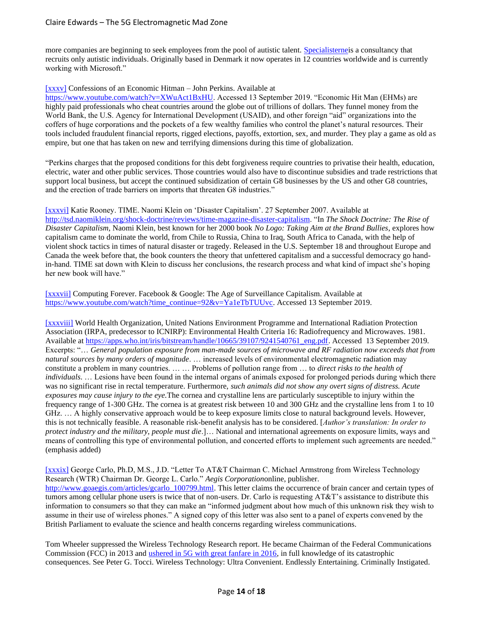more companies are beginning to seek employees from the pool of autistic talent. [Specialisternei](http://uk.specialisterne.com/)s a consultancy that recruits only autistic individuals. Originally based in Denmark it now operates in 12 countries worldwide and is currently working with Microsoft."

#### [\[xxxv\]](applewebdata://57660306-E04F-451D-9184-72AF8487151D/#_ednref12) Confessions of an Economic Hitman – John Perkins. Available at

[https://www.youtube.com/watch?v=XWuAct1BxHU.](https://www.youtube.com/watch?v=XWuAct1BxHU) Accessed 13 September 2019. "Economic Hit Man (EHMs) are highly paid professionals who cheat countries around the globe out of trillions of dollars. They funnel money from the World Bank, the U.S. Agency for International Development (USAID), and other foreign "aid" organizations into the coffers of huge corporations and the pockets of a few wealthy families who control the planet's natural resources. Their tools included fraudulent financial reports, rigged elections, payoffs, extortion, sex, and murder. They play a game as old as empire, but one that has taken on new and terrifying dimensions during this time of globalization.

"Perkins charges that the proposed conditions for this debt forgiveness require countries to privatise their health, education, electric, water and other public services. Those countries would also have to discontinue subsidies and trade restrictions that support local business, but accept the continued subsidization of certain G8 businesses by the US and other G8 countries, and the erection of trade barriers on imports that threaten G8 industries."

[\[xxxvi\]](applewebdata://57660306-E04F-451D-9184-72AF8487151D/#_ednref13) Katie Rooney. TIME. Naomi Klein on 'Disaster Capitalism'. 27 September 2007. Available at [http://tsd.naomiklein.org/shock-doctrine/reviews/time-magazine-disaster-capitalism.](http://tsd.naomiklein.org/shock-doctrine/reviews/time-magazine-disaster-capitalism) "In *The Shock Doctrine: The Rise of Disaster Capitalism*, Naomi Klein, best known for her 2000 book *No Logo: Taking Aim at the Brand Bullies*, explores how capitalism came to dominate the world, from Chile to Russia, China to Iraq, South Africa to Canada, with the help of violent shock tactics in times of natural disaster or tragedy. Released in the U.S. September 18 and throughout Europe and Canada the week before that, the book counters the theory that unfettered capitalism and a successful democracy go handin-hand. TIME sat down with Klein to discuss her conclusions, the research process and what kind of impact she's hoping her new book will have."

[\[xxxvii\]](applewebdata://57660306-E04F-451D-9184-72AF8487151D/#_ednref14) Computing Forever. Facebook & Google: The Age of Surveillance Capitalism. Available at [https://www.youtube.com/watch?time\\_continue=92&v=Ya1eTbTUUvc.](https://www.youtube.com/watch?time_continue=92&v=Ya1eTbTUUvc) Accessed 13 September 2019.

[\[xxxviii\]](applewebdata://57660306-E04F-451D-9184-72AF8487151D/#_ednref15) World Health Organization, United Nations Environment Programme and International Radiation Protection Association (IRPA, predecessor to ICNIRP): Environmental Health Criteria 16: Radiofrequency and Microwaves. 1981. Available a[t https://apps.who.int/iris/bitstream/handle/10665/39107/9241540761\\_eng.pdf.](https://apps.who.int/iris/bitstream/handle/10665/39107/9241540761_eng.pdf) Accessed 13 September 2019. Excerpts: "… *General population exposure from man-made sources of microwave and RF radiation now exceeds that from natural sources by many orders of magnitude*. … increased levels of environmental electromagnetic radiation may constitute a problem in many countries. … … Problems of pollution range from … to *direct risks to the health of individuals*. … Lesions have been found in the internal organs of animals exposed for prolonged periods during which there was no significant rise in rectal temperature. Furthermore, *such animals did not show any overt signs of distress. Acute exposures may cause injury to the eye.*The cornea and crystalline lens are particularly susceptible to injury within the frequency range of 1-300 GHz. The cornea is at greatest risk between 10 and 300 GHz and the crystalline lens from 1 to 10 GHz. … A highly conservative approach would be to keep exposure limits close to natural background levels. However, this is not technically feasible. A reasonable risk-benefit analysis has to be considered. [*Author's translation: In order to protect industry and the military, people must die*.]… National and international agreements on exposure limits, ways and means of controlling this type of environmental pollution, and concerted efforts to implement such agreements are needed." (emphasis added)

[\[xxxix\]](applewebdata://57660306-E04F-451D-9184-72AF8487151D/#_ednref16) George Carlo, Ph.D, M.S., J.D. "Letter To AT&T Chairman C. Michael Armstrong from Wireless Technology Research (WTR) Chairman Dr. George L. Carlo." *Aegis Corporation*online, publisher. [http://www.goaegis.com/articles/gcarlo\\_100799.html.](http://www.goaegis.com/articles/gcarlo_100799.html) This letter claims the occurrence of brain cancer and certain types of tumors among cellular phone users is twice that of non-users. Dr. Carlo is requesting AT&T's assistance to distribute this information to consumers so that they can make an "informed judgment about how much of this unknown risk they wish to assume in their use of wireless phones." A signed copy of this letter was also sent to a panel of experts convened by the British Parliament to evaluate the science and health concerns regarding wireless communications.

Tom Wheeler suppressed the Wireless Technology Research report. He became Chairman of the Federal Communications Commission (FCC) in 2013 and [ushered in 5G with great fanfare in 2016,](https://www.youtube.com/watch?v=22QlpjXR6DY) in full knowledge of its catastrophic consequences. See Peter G. Tocci. Wireless Technology: Ultra Convenient. Endlessly Entertaining. Criminally Instigated.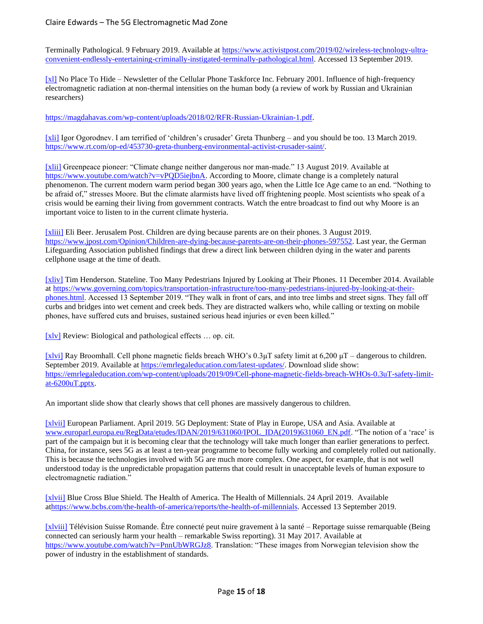Terminally Pathological. 9 February 2019. Available at [https://www.activistpost.com/2019/02/wireless-technology-ultra](https://www.activistpost.com/2019/02/wireless-technology-ultra-convenient-endlessly-entertaining-criminally-instigated-terminally-pathological.html)[convenient-endlessly-entertaining-criminally-instigated-terminally-pathological.html.](https://www.activistpost.com/2019/02/wireless-technology-ultra-convenient-endlessly-entertaining-criminally-instigated-terminally-pathological.html) Accessed 13 September 2019.

[\[xl\]](applewebdata://57660306-E04F-451D-9184-72AF8487151D/#_ednref17) No Place To Hide – Newsletter of the Cellular Phone Taskforce Inc. February 2001. Influence of high-frequency electromagnetic radiation at non-thermal intensities on the human body (a review of work by Russian and Ukrainian researchers)

[https://magdahavas.com/wp-content/uploads/2018/02/RFR-Russian-Ukrainian-1.pdf.](https://magdahavas.com/wp-content/uploads/2018/02/RFR-Russian-Ukrainian-1.pdf)

[\[xli\]](applewebdata://57660306-E04F-451D-9184-72AF8487151D/#_ednref18) Igor Ogorodnev. I am terrified of 'children's crusader' Greta Thunberg – and you should be too. 13 March 2019. [https://www.rt.com/op-ed/453730-greta-thunberg-environmental-activist-crusader-saint/.](https://www.rt.com/op-ed/453730-greta-thunberg-environmental-activist-crusader-saint/)

[\[xlii\]](applewebdata://57660306-E04F-451D-9184-72AF8487151D/#_ednref19) Greenpeace pioneer: "Climate change neither dangerous nor man-made." 13 August 2019. Available at [https://www.youtube.com/watch?v=vPQD5iejbnA.](https://www.youtube.com/watch?v=vPQD5iejbnA) According to Moore, climate change is a completely natural phenomenon. The current modern warm period began 300 years ago, when the Little Ice Age came to an end. "Nothing to be afraid of," stresses Moore. But the climate alarmists have lived off frightening people. Most scientists who speak of a crisis would be earning their living from government contracts. Watch the entre broadcast to find out why Moore is an important voice to listen to in the current climate hysteria.

[\[xliii\]](applewebdata://8FA63EF7-5117-4CAC-BFC8-A3EA939C71DC/#_ednref1) Eli Beer. Jerusalem Post. Children are dying because parents are on their phones. 3 August 2019. [https://www.jpost.com/Opinion/Children-are-dying-because-parents-are-on-their-phones-597552.](https://www.jpost.com/Opinion/Children-are-dying-because-parents-are-on-their-phones-597552) Last year, the German Lifeguarding Association published findings that drew a direct link between children dying in the water and parents cellphone usage at the time of death.

[\[xliv\]](applewebdata://8FA63EF7-5117-4CAC-BFC8-A3EA939C71DC/#_ednref2) Tim Henderson. Stateline. Too Many Pedestrians Injured by Looking at Their Phones. 11 December 2014. Available at [https://www.governing.com/topics/transportation-infrastructure/too-many-pedestrians-injured-by-looking-at-their](https://www.governing.com/topics/transportation-infrastructure/too-many-pedestrians-injured-by-looking-at-their-phones.html)[phones.html.](https://www.governing.com/topics/transportation-infrastructure/too-many-pedestrians-injured-by-looking-at-their-phones.html) Accessed 13 September 2019. "They walk in front of cars, and into tree limbs and street signs. They fall off curbs and bridges into wet cement and creek beds. They are distracted walkers who, while calling or texting on mobile phones, have suffered cuts and bruises, sustained serious head injuries or even been killed."

[\[xlv\]](applewebdata://8FA63EF7-5117-4CAC-BFC8-A3EA939C71DC/#_ednref3) Review: Biological and pathological effects … op. cit.

[\[xlvi\]](applewebdata://8FA63EF7-5117-4CAC-BFC8-A3EA939C71DC/#_ednref4) Ray Broomhall. Cell phone magnetic fields breach WHO's 0.3μT safety limit at 6,200 μT – dangerous to children. September 2019. Available at [https://emrlegaleducation.com/latest-updates/.](https://emrlegaleducation.com/latest-updates/) Download slide show: [https://emrlegaleducation.com/wp-content/uploads/2019/09/Cell-phone-magnetic-fields-breach-WHOs-0.3uT-safety-limit](https://emrlegaleducation.com/wp-content/uploads/2019/09/Cell-phone-magnetic-fields-breach-WHOs-0.3uT-safety-limit-at-6200uT.pptx)[at-6200uT.pptx.](https://emrlegaleducation.com/wp-content/uploads/2019/09/Cell-phone-magnetic-fields-breach-WHOs-0.3uT-safety-limit-at-6200uT.pptx)

An important slide show that clearly shows that cell phones are massively dangerous to children.

[\[xlvii\]](applewebdata://8FA63EF7-5117-4CAC-BFC8-A3EA939C71DC/#_ednref5) European Parliament. April 2019. 5G Deployment: State of Play in Europe, USA and Asia. Available at [www.europarl.europa.eu/RegData/etudes/IDAN/2019/631060/IPOL\\_IDA\(2019\)631060\\_EN.pdf.](https://www.europarl.europa.eu/RegData/etudes/IDAN/2019/631060/IPOL_IDA(2019)631060_EN.pdf) "The notion of a 'race' is part of the campaign but it is becoming clear that the technology will take much longer than earlier generations to perfect. China, for instance, sees 5G as at least a ten-year programme to become fully working and completely rolled out nationally. This is because the technologies involved with 5G are much more complex. One aspect, for example, that is not well understood today is the unpredictable propagation patterns that could result in unacceptable levels of human exposure to electromagnetic radiation."

[\[xlvii\]](applewebdata://8FA63EF7-5117-4CAC-BFC8-A3EA939C71DC/#_ednref6) Blue Cross Blue Shield. The Health of America. The Health of Millennials. 24 April 2019. Available a[thttps://www.bcbs.com/the-health-of-america/reports/the-health-of-millennials.](https://www.bcbs.com/the-health-of-america/reports/the-health-of-millennials) Accessed 13 September 2019.

[\[xlviii\]](applewebdata://8FA63EF7-5117-4CAC-BFC8-A3EA939C71DC/#_ednref7) Télévision Suisse Romande. Être connecté peut nuire gravement à la santé – Reportage suisse remarquable (Being connected can seriously harm your health – remarkable Swiss reporting). 31 May 2017. Available at [https://www.youtube.com/watch?v=PnnUbWRGJz8.](https://www.youtube.com/watch?v=PnnUbWRGJz8) Translation: "These images from Norwegian television show the power of industry in the establishment of standards.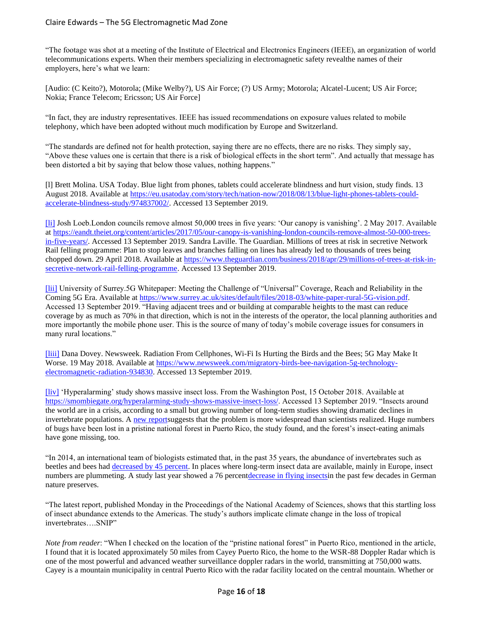"The footage was shot at a meeting of the Institute of Electrical and Electronics Engineers (IEEE), an organization of world telecommunications experts. When their members specializing in electromagnetic safety revealthe names of their employers, here's what we learn:

[Audio: (C Keito?), Motorola; (Mike Welby?), US Air Force; (?) US Army; Motorola; Alcatel-Lucent; US Air Force; Nokia; France Telecom; Ericsson; US Air Force]

"In fact, they are industry representatives. IEEE has issued recommendations on exposure values related to mobile telephony, which have been adopted without much modification by Europe and Switzerland.

"The standards are defined not for health protection, saying there are no effects, there are no risks. They simply say, "Above these values one is certain that there is a risk of biological effects in the short term". And actually that message has been distorted a bit by saying that below those values, nothing happens."

[l] Brett Molina. USA Today. Blue light from phones, tablets could accelerate blindness and hurt vision, study finds. 13 August 2018. Available at [https://eu.usatoday.com/story/tech/nation-now/2018/08/13/blue-light-phones-tablets-could](https://eu.usatoday.com/story/tech/nation-now/2018/08/13/blue-light-phones-tablets-could-accelerate-blindness-study/974837002/)[accelerate-blindness-study/974837002/.](https://eu.usatoday.com/story/tech/nation-now/2018/08/13/blue-light-phones-tablets-could-accelerate-blindness-study/974837002/) Accessed 13 September 2019.

[\[li\]](applewebdata://2B9750EB-75C3-43B4-B46B-5F79920D96DD/#_ednref1) Josh Loeb.London councils remove almost 50,000 trees in five years: 'Our canopy is vanishing'. 2 May 2017. Available at [https://eandt.theiet.org/content/articles/2017/05/our-canopy-is-vanishing-london-councils-remove-almost-50-000-trees](https://eandt.theiet.org/content/articles/2017/05/our-canopy-is-vanishing-london-councils-remove-almost-50-000-trees-in-five-years/)[in-five-years/.](https://eandt.theiet.org/content/articles/2017/05/our-canopy-is-vanishing-london-councils-remove-almost-50-000-trees-in-five-years/) Accessed 13 September 2019. Sandra Laville. The Guardian. Millions of trees at risk in secretive Network Rail felling programme: Plan to stop leaves and branches falling on lines has already led to thousands of trees being chopped down. 29 April 2018. Available at [https://www.theguardian.com/business/2018/apr/29/millions-of-trees-at-risk-in](https://www.theguardian.com/business/2018/apr/29/millions-of-trees-at-risk-in-secretive-network-rail-felling-programme)[secretive-network-rail-felling-programme.](https://www.theguardian.com/business/2018/apr/29/millions-of-trees-at-risk-in-secretive-network-rail-felling-programme) Accessed 13 September 2019.

[\[lii\]](applewebdata://2B9750EB-75C3-43B4-B46B-5F79920D96DD/#_ednref2) University of Surrey.5G Whitepaper: Meeting the Challenge of "Universal" Coverage, Reach and Reliability in the Coming 5G Era. Available at [https://www.surrey.ac.uk/sites/default/files/2018-03/white-paper-rural-5G-vision.pdf.](https://www.surrey.ac.uk/sites/default/files/2018-03/white-paper-rural-5G-vision.pdf) Accessed 13 September 2019. "Having adjacent trees and or building at comparable heights to the mast can reduce coverage by as much as 70% in that direction, which is not in the interests of the operator, the local planning authorities and more importantly the mobile phone user. This is the source of many of today's mobile coverage issues for consumers in many rural locations."

[\[liii\]](applewebdata://2B9750EB-75C3-43B4-B46B-5F79920D96DD/#_ednref3) Dana Dovey. Newsweek. Radiation From Cellphones, Wi-Fi Is Hurting the Birds and the Bees; 5G May Make It Worse. 19 May 2018. Available at [https://www.newsweek.com/migratory-birds-bee-navigation-5g-technology](https://www.newsweek.com/migratory-birds-bee-navigation-5g-technology-electromagnetic-radiation-934830)[electromagnetic-radiation-934830.](https://www.newsweek.com/migratory-birds-bee-navigation-5g-technology-electromagnetic-radiation-934830) Accessed 13 September 2019.

[\[liv\]](applewebdata://2B9750EB-75C3-43B4-B46B-5F79920D96DD/#_ednref4) 'Hyperalarming' study shows massive insect loss. From the Washington Post, 15 October 2018. Available at [https://smombiegate.org/hyperalarming-study-shows-massive-insect-loss/.](https://smombiegate.org/hyperalarming-study-shows-massive-insect-loss/) Accessed 13 September 2019. "Insects around the world are in a crisis, according to a small but growing number of long-term studies showing dramatic declines in invertebrate populations. A [new reports](http://www.pnas.org/cgi/doi/10.1073/pnas.1722477115)uggests that the problem is more widespread than scientists realized. Huge numbers of bugs have been lost in a pristine national forest in Puerto Rico, the study found, and the forest's insect-eating animals have gone missing, too.

"In 2014, an international team of biologists estimated that, in the past 35 years, the abundance of invertebrates such as beetles and bees had [decreased by 45 percent.](http://science.sciencemag.org/content/345/6195/401.full) In places where long-term insect data are available, mainly in Europe, insect numbers are plummeting. A study last year showed a 76 percen[tdecrease in flying insectsi](https://www.washingtonpost.com/news/speaking-of-science/wp/2017/10/18/this-is-very-alarming-flying-insects-vanish-from-nature-preserves/?utm_term=.646ed11d4999)n the past few decades in German nature preserves.

"The latest report, published Monday in the Proceedings of the National Academy of Sciences, shows that this startling loss of insect abundance extends to the Americas. The study's authors implicate climate change in the loss of tropical invertebrates….SNIP"

*Note from reader*: "When I checked on the location of the "pristine national forest" in Puerto Rico, mentioned in the article, I found that it is located approximately 50 miles from Cayey Puerto Rico, the home to the WSR-88 Doppler Radar which is one of the most powerful and advanced weather surveillance doppler radars in the world, transmitting at 750,000 watts. Cayey is a mountain municipality in central Puerto Rico with the radar facility located on the central mountain. Whether or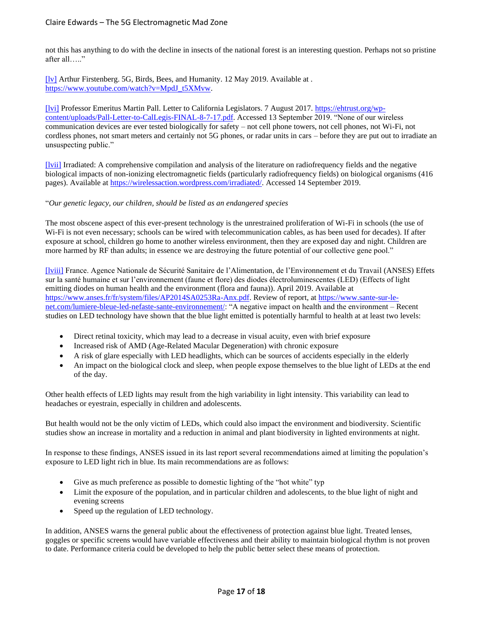not this has anything to do with the decline in insects of the national forest is an interesting question. Perhaps not so pristine after all….."

[\[lv\]](applewebdata://2B9750EB-75C3-43B4-B46B-5F79920D96DD/#_ednref5) Arthur Firstenberg. 5G, Birds, Bees, and Humanity. 12 May 2019. Available at. [https://www.youtube.com/watch?v=MpdJ\\_t5XMvw.](https://www.youtube.com/watch?v=MpdJ_t5XMvw)

[\[lvi\]](applewebdata://2B9750EB-75C3-43B4-B46B-5F79920D96DD/#_ednref6) Professor Emeritus Martin Pall. Letter to California Legislators. 7 August 2017. [https://ehtrust.org/wp](https://ehtrust.org/wp-content/uploads/Pall-Letter-to-CalLegis-FINAL-8-7-17.pdf)[content/uploads/Pall-Letter-to-CalLegis-FINAL-8-7-17.pdf.](https://ehtrust.org/wp-content/uploads/Pall-Letter-to-CalLegis-FINAL-8-7-17.pdf) Accessed 13 September 2019. "None of our wireless communication devices are ever tested biologically for safety – not cell phone towers, not cell phones, not Wi-Fi, not cordless phones, not smart meters and certainly not 5G phones, or radar units in cars – before they are put out to irradiate an unsuspecting public."

[\[lvii\]](applewebdata://2B9750EB-75C3-43B4-B46B-5F79920D96DD/#_ednref7) Irradiated: A comprehensive compilation and analysis of the literature on radiofrequency fields and the negative biological impacts of non-ionizing electromagnetic fields (particularly radiofrequency fields) on biological organisms (416 pages). Available at [https://wirelessaction.wordpress.com/irradiated/.](https://wirelessaction.wordpress.com/irradiated/) Accessed 14 September 2019.

#### "*Our genetic legacy, our children, should be listed as an endangered species*

The most obscene aspect of this ever-present technology is the unrestrained proliferation of Wi-Fi in schools (the use of Wi-Fi is not even necessary; schools can be wired with telecommunication cables, as has been used for decades). If after exposure at school, children go home to another wireless environment, then they are exposed day and night. Children are more harmed by RF than adults; in essence we are destroying the future potential of our collective gene pool."

[\[lviii\]](applewebdata://2B9750EB-75C3-43B4-B46B-5F79920D96DD/#_ednref8) France. Agence Nationale de Sécurité Sanitaire de l'Alimentation, de l'Environnement et du Travail (ANSES) Effets sur la santé humaine et sur l'environnement (faune et flore) des diodes électroluminescentes (LED) (Effects of light emitting diodes on human health and the environment (flora and fauna)). April 2019. Available at [https://www.anses.fr/fr/system/files/AP2014SA0253Ra-Anx.pdf.](https://www.anses.fr/fr/system/files/AP2014SA0253Ra-Anx.pdf) Review of report, a[t https://www.sante-sur-le](https://www.sante-sur-le-net.com/lumiere-bleue-led-nefaste-sante-environnement/)[net.com/lumiere-bleue-led-nefaste-sante-environnement/:](https://www.sante-sur-le-net.com/lumiere-bleue-led-nefaste-sante-environnement/) "A negative impact on health and the environment – Recent studies on LED technology have shown that the blue light emitted is potentially harmful to health at at least two levels:

- Direct retinal toxicity, which may lead to a decrease in visual acuity, even with brief exposure
- Increased risk of AMD (Age-Related Macular Degeneration) with chronic exposure
- A risk of glare especially with LED headlights, which can be sources of accidents especially in the elderly
- An impact on the biological clock and sleep, when people expose themselves to the blue light of LEDs at the end of the day.

Other health effects of LED lights may result from the high variability in light intensity. This variability can lead to headaches or eyestrain, especially in children and adolescents.

But health would not be the only victim of LEDs, which could also impact the environment and biodiversity. Scientific studies show an increase in mortality and a reduction in animal and plant biodiversity in lighted environments at night.

In response to these findings, ANSES issued in its last report several recommendations aimed at limiting the population's exposure to LED light rich in blue. Its main recommendations are as follows:

- Give as much preference as possible to domestic lighting of the "hot white" typ
- Limit the exposure of the population, and in particular children and adolescents, to the blue light of night and evening screens
- Speed up the regulation of LED technology.

In addition, ANSES warns the general public about the effectiveness of protection against blue light. Treated lenses, goggles or specific screens would have variable effectiveness and their ability to maintain biological rhythm is not proven to date. Performance criteria could be developed to help the public better select these means of protection.